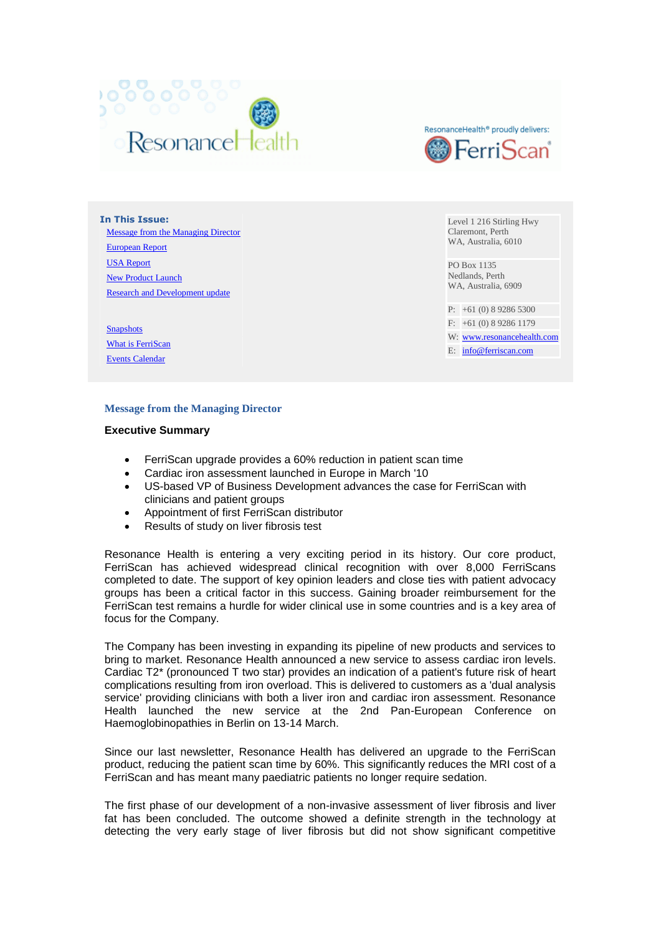



**In This Issue:** [Message from the Managing Director](http://content.enewslettersonline.com/10232/35447.html#A1) [European Report](http://content.enewslettersonline.com/10232/35447.html#A2) [USA Report](http://content.enewslettersonline.com/10232/35447.html#A3) [New Product Launch](http://content.enewslettersonline.com/10232/35447.html#A4) [Research and Development update](http://content.enewslettersonline.com/10232/35447.html#A5)

**[Snapshots](http://content.enewslettersonline.com/10232/35447.html#SA1)** [What is FerriScan](http://content.enewslettersonline.com/10232/35447.html#SA2) [Events Calendar](http://content.enewslettersonline.com/10232/35447.html#SA3)

Level 1 216 Stirling Hwy Claremont, Perth WA, Australia, 6010

PO Box 1135 Nedlands, Perth WA, Australia, 6909

P: +61 (0) 8 9286 5300

F: +61 (0) 8 9286 1179 W: [www.resonancehealth.com](http://www.resonancehealth.com/)

E: [info@ferriscan.com](mailto:info@ferriscan.com)

# **Message from the Managing Director**

# **Executive Summary**

- FerriScan upgrade provides a 60% reduction in patient scan time
- Cardiac iron assessment launched in Europe in March '10
- US-based VP of Business Development advances the case for FerriScan with clinicians and patient groups
- Appointment of first FerriScan distributor
- Results of study on liver fibrosis test

Resonance Health is entering a very exciting period in its history. Our core product, FerriScan has achieved widespread clinical recognition with over 8,000 FerriScans completed to date. The support of key opinion leaders and close ties with patient advocacy groups has been a critical factor in this success. Gaining broader reimbursement for the FerriScan test remains a hurdle for wider clinical use in some countries and is a key area of focus for the Company.

The Company has been investing in expanding its pipeline of new products and services to bring to market. Resonance Health announced a new service to assess cardiac iron levels. Cardiac T2\* (pronounced T two star) provides an indication of a patient's future risk of heart complications resulting from iron overload. This is delivered to customers as a 'dual analysis service' providing clinicians with both a liver iron and cardiac iron assessment. Resonance Health launched the new service at the 2nd Pan-European Conference on Haemoglobinopathies in Berlin on 13-14 March.

Since our last newsletter, Resonance Health has delivered an upgrade to the FerriScan product, reducing the patient scan time by 60%. This significantly reduces the MRI cost of a FerriScan and has meant many paediatric patients no longer require sedation.

The first phase of our development of a non-invasive assessment of liver fibrosis and liver fat has been concluded. The outcome showed a definite strength in the technology at detecting the very early stage of liver fibrosis but did not show significant competitive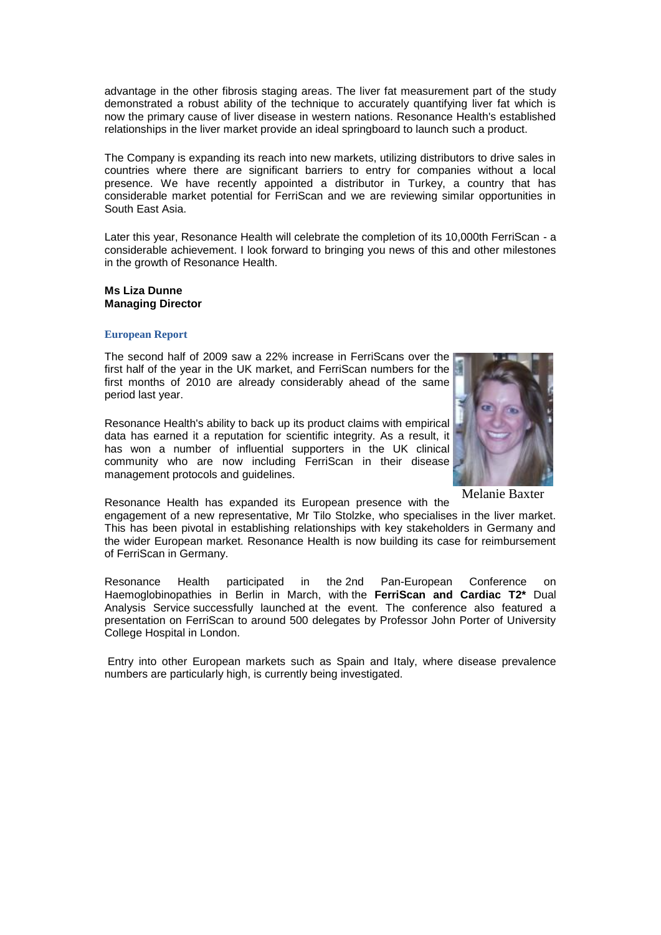advantage in the other fibrosis staging areas. The liver fat measurement part of the study demonstrated a robust ability of the technique to accurately quantifying liver fat which is now the primary cause of liver disease in western nations. Resonance Health's established relationships in the liver market provide an ideal springboard to launch such a product.

The Company is expanding its reach into new markets, utilizing distributors to drive sales in countries where there are significant barriers to entry for companies without a local presence. We have recently appointed a distributor in Turkey, a country that has considerable market potential for FerriScan and we are reviewing similar opportunities in South East Asia.

Later this year, Resonance Health will celebrate the completion of its 10,000th FerriScan - a considerable achievement. I look forward to bringing you news of this and other milestones in the growth of Resonance Health.

#### **Ms Liza Dunne Managing Director**

# **European Report**

The second half of 2009 saw a 22% increase in FerriScans over the first half of the year in the UK market, and FerriScan numbers for the first months of 2010 are already considerably ahead of the same period last year.

Resonance Health's ability to back up its product claims with empirical data has earned it a reputation for scientific integrity. As a result, it has won a number of influential supporters in the UK clinical community who are now including FerriScan in their disease management protocols and quidelines.



Melanie Baxter

Resonance Health has expanded its European presence with the engagement of a new representative, Mr Tilo Stolzke, who specialises in the liver market. This has been pivotal in establishing relationships with key stakeholders in Germany and the wider European market. Resonance Health is now building its case for reimbursement of FerriScan in Germany.

Resonance Health participated in the 2nd Pan-European Conference on Haemoglobinopathies in Berlin in March, with the **FerriScan and Cardiac T2\*** Dual Analysis Service successfully launched at the event. The conference also featured a presentation on FerriScan to around 500 delegates by Professor John Porter of University College Hospital in London.

Entry into other European markets such as Spain and Italy, where disease prevalence numbers are particularly high, is currently being investigated.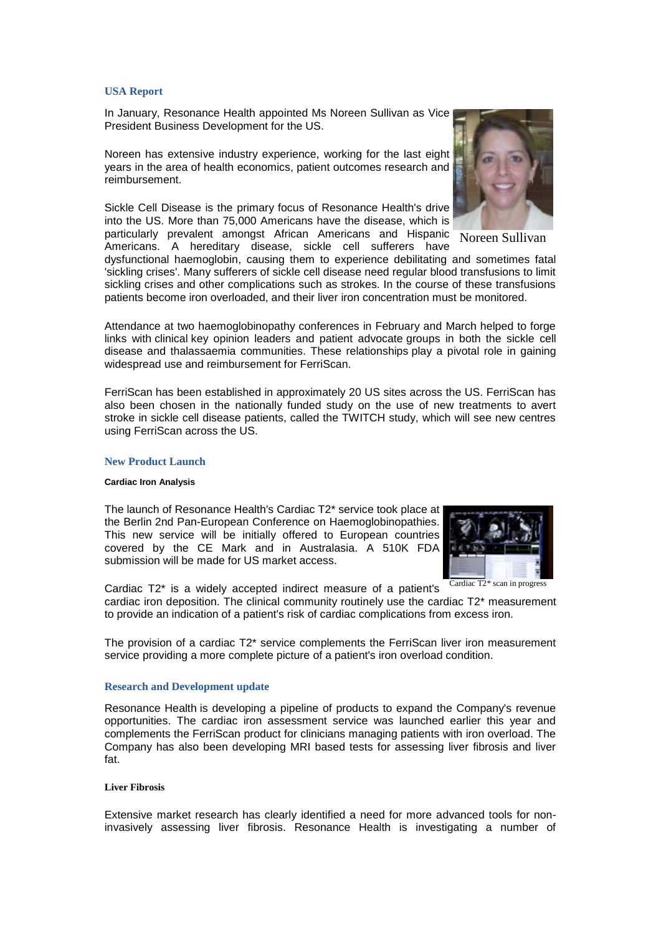# **USA Report**

In January, Resonance Health appointed Ms Noreen Sullivan as Vice President Business Development for the US.

Noreen has extensive industry experience, working for the last eight years in the area of health economics, patient outcomes research and reimbursement.

Sickle Cell Disease is the primary focus of Resonance Health's drive into the US. More than 75,000 Americans have the disease, which is particularly prevalent amongst African Americans and Hispanic

Americans. A hereditary disease, sickle cell sufferers have

dysfunctional haemoglobin, causing them to experience debilitating and sometimes fatal 'sickling crises'. Many sufferers of sickle cell disease need regular blood transfusions to limit sickling crises and other complications such as strokes. In the course of these transfusions patients become iron overloaded, and their liver iron concentration must be monitored.

Attendance at two haemoglobinopathy conferences in February and March helped to forge links with clinical key opinion leaders and patient advocate groups in both the sickle cell disease and thalassaemia communities. These relationships play a pivotal role in gaining widespread use and reimbursement for FerriScan.

FerriScan has been established in approximately 20 US sites across the US. FerriScan has also been chosen in the nationally funded study on the use of new treatments to avert stroke in sickle cell disease patients, called the TWITCH study, which will see new centres using FerriScan across the US.

#### **New Product Launch**

#### **Cardiac Iron Analysis**

The launch of Resonance Health's Cardiac T2\* service took place at the Berlin 2nd Pan-European Conference on Haemoglobinopathies. This new service will be initially offered to European countries covered by the CE Mark and in Australasia. A 510K FDA submission will be made for US market access.

Cardiac T2\* is a widely accepted indirect measure of a patient's cardiac iron deposition. The clinical community routinely use the cardiac T2\* measurement to provide an indication of a patient's risk of cardiac complications from excess iron.

The provision of a cardiac T2\* service complements the FerriScan liver iron measurement service providing a more complete picture of a patient's iron overload condition.

#### **Research and Development update**

Resonance Health is developing a pipeline of products to expand the Company's revenue opportunities. The cardiac iron assessment service was launched earlier this year and complements the FerriScan product for clinicians managing patients with iron overload. The Company has also been developing MRI based tests for assessing liver fibrosis and liver fat.

#### **Liver Fibrosis**

Extensive market research has clearly identified a need for more advanced tools for noninvasively assessing liver fibrosis. Resonance Health is investigating a number of

Noreen Sullivan



Cardiac T2\* scan in progress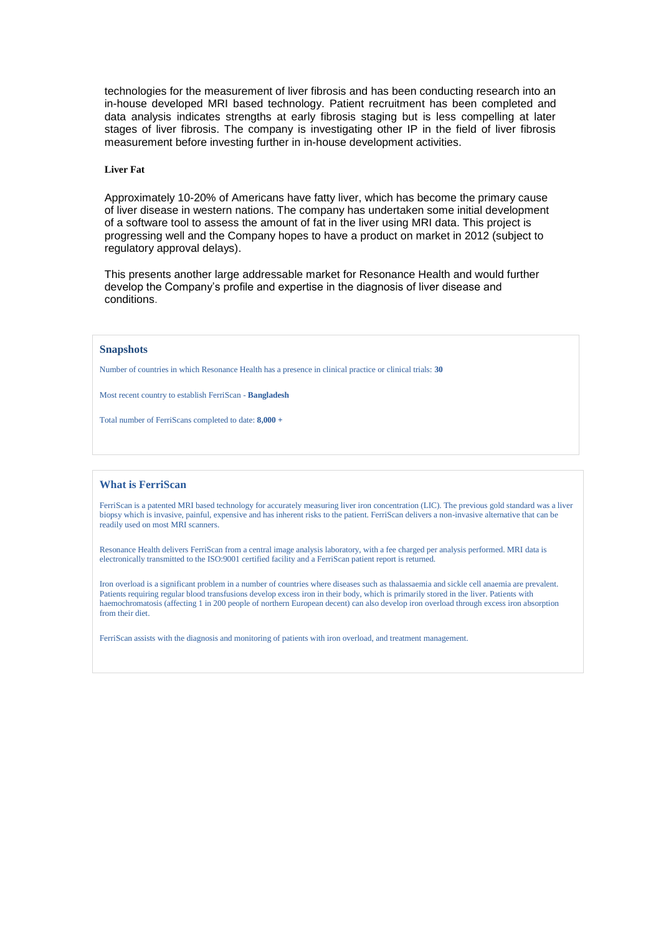technologies for the measurement of liver fibrosis and has been conducting research into an in-house developed MRI based technology. Patient recruitment has been completed and data analysis indicates strengths at early fibrosis staging but is less compelling at later stages of liver fibrosis. The company is investigating other IP in the field of liver fibrosis measurement before investing further in in-house development activities.

#### **Liver Fat**

Approximately 10-20% of Americans have fatty liver, which has become the primary cause of liver disease in western nations. The company has undertaken some initial development of a software tool to assess the amount of fat in the liver using MRI data. This project is progressing well and the Company hopes to have a product on market in 2012 (subject to regulatory approval delays).

This presents another large addressable market for Resonance Health and would further develop the Company's profile and expertise in the diagnosis of liver disease and conditions.

#### **Snapshots**

Number of countries in which Resonance Health has a presence in clinical practice or clinical trials: **30**

Most recent country to establish FerriScan - **Bangladesh**

Total number of FerriScans completed to date: **8,000 +**

# **What is FerriScan**

FerriScan is a patented MRI based technology for accurately measuring liver iron concentration (LIC). The previous gold standard was a liver biopsy which is invasive, painful, expensive and has inherent risks to the patient. FerriScan delivers a non-invasive alternative that can be readily used on most MRI scanners.

Resonance Health delivers FerriScan from a central image analysis laboratory, with a fee charged per analysis performed. MRI data is electronically transmitted to the ISO:9001 certified facility and a FerriScan patient report is returned.

Iron overload is a significant problem in a number of countries where diseases such as thalassaemia and sickle cell anaemia are prevalent. Patients requiring regular blood transfusions develop excess iron in their body, which is primarily stored in the liver. Patients with haemochromatosis (affecting 1 in 200 people of northern European decent) can also develop iron overload through excess iron absorption from their diet.

FerriScan assists with the diagnosis and monitoring of patients with iron overload, and treatment management.